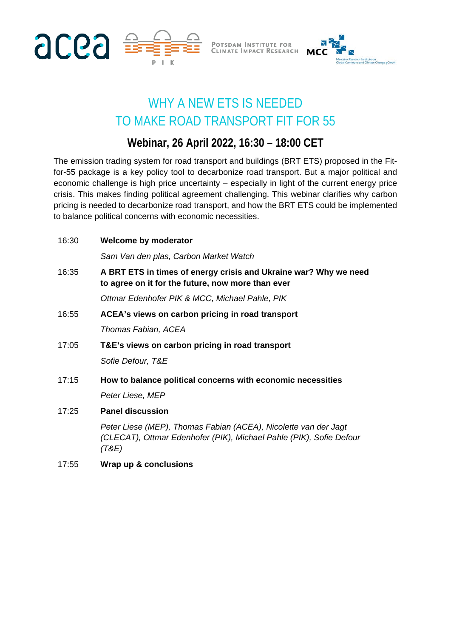

POTSDAM INSTITUTE FOR<br>CLIMATE IMPACT RESEARCH



## WHY A NEW ETS IS NEEDED TO MAKE ROAD TRANSPORT FIT FOR 55

## **Webinar, 26 April 2022, 16:30 – 18:00 CET**

The emission trading system for road transport and buildings (BRT ETS) proposed in the Fitfor-55 package is a key policy tool to decarbonize road transport. But a major political and economic challenge is high price uncertainty – especially in light of the current energy price crisis. This makes finding political agreement challenging. This webinar clarifies why carbon pricing is needed to decarbonize road transport, and how the BRT ETS could be implemented to balance political concerns with economic necessities.

| 16:30 | <b>Welcome by moderator</b>                                                                                                                     |
|-------|-------------------------------------------------------------------------------------------------------------------------------------------------|
|       | Sam Van den plas, Carbon Market Watch                                                                                                           |
| 16:35 | A BRT ETS in times of energy crisis and Ukraine war? Why we need<br>to agree on it for the future, now more than ever                           |
|       | Ottmar Edenhofer PIK & MCC, Michael Pahle, PIK                                                                                                  |
| 16:55 | ACEA's views on carbon pricing in road transport                                                                                                |
|       | Thomas Fabian, ACEA                                                                                                                             |
| 17:05 | T&E's views on carbon pricing in road transport                                                                                                 |
|       | Sofie Defour, T&E                                                                                                                               |
| 17:15 | How to balance political concerns with economic necessities                                                                                     |
|       | Peter Liese, MEP                                                                                                                                |
| 17:25 | <b>Panel discussion</b>                                                                                                                         |
|       | Peter Liese (MEP), Thomas Fabian (ACEA), Nicolette van der Jagt<br>(CLECAT), Ottmar Edenhofer (PIK), Michael Pahle (PIK), Sofie Defour<br>'T&E) |

17:55 **Wrap up & conclusions**